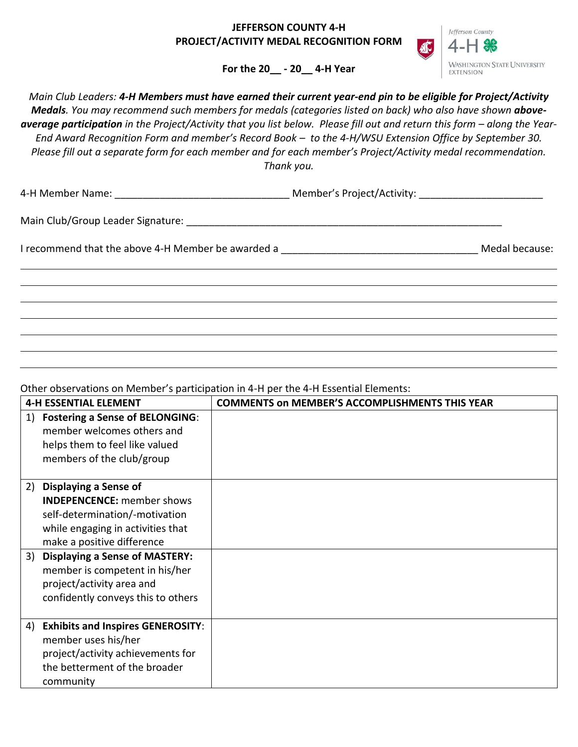## **JEFFERSON COUNTY 4-H PROJECT/ACTIVITY MEDAL RECOGNITION FORM**



**For the 20\_\_ - 20\_\_ 4-H Year**

*Main Club Leaders: 4-H Members must have earned their current year-end pin to be eligible for Project/Activity*  Medals. You may recommend such members for medals (categories listed on back) who also have shown aboveaverage participation in the Project/Activity that you list below. Please fill out and return this form - along the Year-*End Award Recognition Form and member's Record Book – to the 4-H/WSU Extension Office by September 30. Please fill out a separate form for each member and for each member's Project/Activity medal recommendation. Thank you.*

| 4-H Member Name: |  |
|------------------|--|
|                  |  |

4-H Member Name: \_\_\_\_\_\_\_\_\_\_\_\_\_\_\_\_\_\_\_\_\_\_\_\_\_\_\_\_\_\_\_ Member's Project/Activity: \_\_\_\_\_\_\_\_\_\_\_\_\_\_\_\_\_\_\_\_\_\_

Main Club/Group Leader Signature: \_\_\_\_\_\_\_\_\_\_\_\_\_\_\_\_\_\_\_\_\_\_\_\_\_\_\_\_\_\_\_\_\_\_\_\_\_\_\_\_\_\_\_\_\_\_\_\_\_\_\_\_\_\_\_\_

I recommend that the above 4-H Member be awarded a \_\_\_\_\_\_\_\_\_\_\_\_\_\_\_\_\_\_\_\_\_\_\_\_\_\_\_\_\_\_\_\_\_\_\_ Medal because:

Other observations on Member's participation in 4-H per the 4-H Essential Elements:

| <b>4-H ESSENTIAL ELEMENT</b>                                                                                                                                                                                                                                                                                    | <b>COMMENTS ON MEMBER'S ACCOMPLISHMENTS THIS YEAR</b> |  |
|-----------------------------------------------------------------------------------------------------------------------------------------------------------------------------------------------------------------------------------------------------------------------------------------------------------------|-------------------------------------------------------|--|
| <b>Fostering a Sense of BELONGING:</b><br>1)<br>member welcomes others and<br>helps them to feel like valued<br>members of the club/group                                                                                                                                                                       |                                                       |  |
| Displaying a Sense of<br>2)<br><b>INDEPENCENCE:</b> member shows<br>self-determination/-motivation<br>while engaging in activities that<br>make a positive difference<br>3) Displaying a Sense of MASTERY:<br>member is competent in his/her<br>project/activity area and<br>confidently conveys this to others |                                                       |  |
| <b>Exhibits and Inspires GENEROSITY:</b><br>4)<br>member uses his/her<br>project/activity achievements for<br>the betterment of the broader<br>community                                                                                                                                                        |                                                       |  |